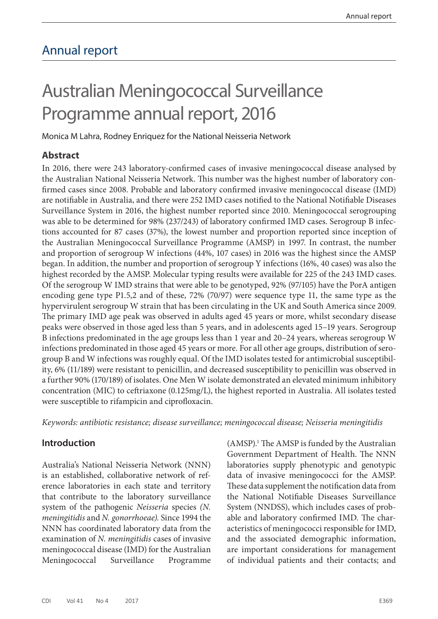## Annual report

# Australian Meningococcal Surveillance Programme annual report, 2016

Monica M Lahra, Rodney Enriquez for the National Neisseria Network

#### **Abstract**

In 2016, there were 243 laboratory-confirmed cases of invasive meningococcal disease analysed by the Australian National Neisseria Network. This number was the highest number of laboratory confirmed cases since 2008. Probable and laboratory confirmed invasive meningococcal disease (IMD) are notifiable in Australia, and there were 252 IMD cases notified to the National Notifiable Diseases Surveillance System in 2016, the highest number reported since 2010. Meningococcal serogrouping was able to be determined for 98% (237/243) of laboratory confirmed IMD cases. Serogroup B infections accounted for 87 cases (37%), the lowest number and proportion reported since inception of the Australian Meningococcal Surveillance Programme (AMSP) in 1997. In contrast, the number and proportion of serogroup W infections (44%, 107 cases) in 2016 was the highest since the AMSP began. In addition, the number and proportion of serogroup Y infections (16%, 40 cases) was also the highest recorded by the AMSP. Molecular typing results were available for 225 of the 243 IMD cases. Of the serogroup W IMD strains that were able to be genotyped, 92% (97/105) have the PorA antigen encoding gene type P1.5,2 and of these, 72% (70/97) were sequence type 11, the same type as the hypervirulent serogroup W strain that has been circulating in the UK and South America since 2009. The primary IMD age peak was observed in adults aged 45 years or more, whilst secondary disease peaks were observed in those aged less than 5 years, and in adolescents aged 15–19 years. Serogroup B infections predominated in the age groups less than 1 year and 20–24 years, whereas serogroup W infections predominated in those aged 45 years or more. For all other age groups, distribution of serogroup B and W infections was roughly equal. Of the IMD isolates tested for antimicrobial susceptibility, 6% (11/189) were resistant to penicillin, and decreased susceptibility to penicillin was observed in a further 90% (170/189) of isolates. One Men W isolate demonstrated an elevated minimum inhibitory concentration (MIC) to ceftriaxone (0.125mg/L), the highest reported in Australia. All isolates tested were susceptible to rifampicin and ciprofloxacin.

*Keywords: antibiotic resistance; disease surveillance; meningococcal disease; Neisseria meningitidis*

## **Introduction**

Australia's National Neisseria Network (NNN) is an established, collaborative network of reference laboratories in each state and territory that contribute to the laboratory surveillance system of the pathogenic *Neisseria* species *(N. meningitidis* and *N. gonorrhoeae).* Since 1994 the NNN has coordinated laboratory data from the examination of *N. meningitidis* cases of invasive meningococcal disease (IMD) for the Australian Meningococcal Surveillance Programme

(AMSP).<sup>1</sup> The AMSP is funded by the Australian Government Department of Health. The NNN laboratories supply phenotypic and genotypic data of invasive meningococci for the AMSP. These data supplement the notification data from the National Notifiable Diseases Surveillance System (NNDSS), which includes cases of probable and laboratory confirmed IMD. The characteristics of meningococci responsible for IMD, and the associated demographic information, are important considerations for management of individual patients and their contacts; and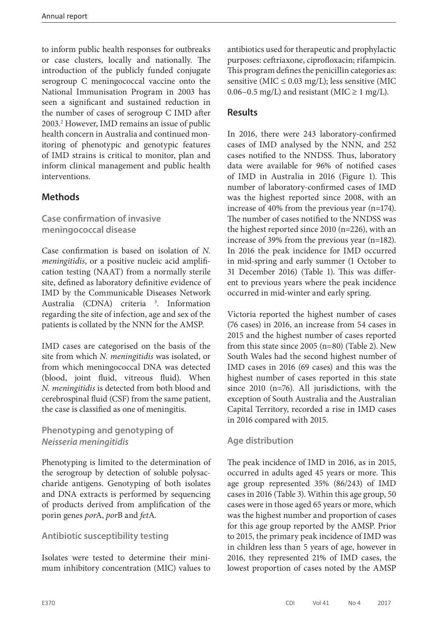to inform public health responses for outbreaks or case clusters, locally and nationally. The introduction of the publicly funded conjugate serogroup C meningococcal vaccine onto the National Immunisation Program in 2003 has seen a significant and sustained reduction in the number of cases of serogroup C IMD after 2003.2 However, IMD remains an issue of public health concern in Australia and continued monitoring of phenotypic and genotypic features of IMD strains is critical to monitor, plan and inform clinical management and public health interventions.

## **Methods**

**Case confirmation of invasive meningococcal disease**

Case confirmation is based on isolation of *N. meningitidis*, or a positive nucleic acid amplification testing (NAAT) from a normally sterile site, defined as laboratory definitive evidence of IMD by the Communicable Diseases Network Australia (CDNA) criteria<sup>3</sup>. Information regarding the site of infection, age and sex of the patients is collated by the NNN for the AMSP.

IMD cases are categorised on the basis of the site from which *N. meningitidis* was isolated, or from which meningococcal DNA was detected (blood, joint fluid, vitreous fluid). When *N. meningitidis* is detected from both blood and cerebrospinal fluid (CSF) from the same patient, the case is classified as one of meningitis.

## **Phenotyping and genotyping of**  *Neisseria meningitidis*

Phenotyping is limited to the determination of the serogroup by detection of soluble polysaccharide antigens. Genotyping of both isolates and DNA extracts is performed by sequencing of products derived from amplification of the porin genes *por*A, *por*B and *fet*A*.*

## **Antibiotic susceptibility testing**

Isolates were tested to determine their minimum inhibitory concentration (MIC) values to antibiotics used for therapeutic and prophylactic purposes: ceftriaxone, ciprofloxacin; rifampicin. This program defines the penicillin categories as: sensitive ( $MIC \leq 0.03$  mg/L); less sensitive (MIC 0.06–0.5 mg/L) and resistant (MIC  $\geq$  1 mg/L).

## **Results**

In 2016, there were 243 laboratory-confirmed cases of IMD analysed by the NNN, and 252 cases notified to the NNDSS. Thus, laboratory data were available for 96% of notified cases of IMD in Australia in 2016 (Figure 1). This number of laboratory-confirmed cases of IMD was the highest reported since 2008, with an increase of 40% from the previous year (n=174). The number of cases notified to the NNDSS was the highest reported since 2010 (n=226), with an increase of 39% from the previous year (n=182). In 2016 the peak incidence for IMD occurred in mid-spring and early summer (1 October to 31 December 2016) (Table 1). This was different to previous years where the peak incidence occurred in mid-winter and early spring.

Victoria reported the highest number of cases (76 cases) in 2016, an increase from 54 cases in 2015 and the highest number of cases reported from this state since 2005 (n=80) (Table 2). New South Wales had the second highest number of IMD cases in 2016 (69 cases) and this was the highest number of cases reported in this state since 2010 (n=76). All jurisdictions, with the exception of South Australia and the Australian Capital Territory, recorded a rise in IMD cases in 2016 compared with 2015.

## **Age distribution**

The peak incidence of IMD in 2016, as in 2015, occurred in adults aged 45 years or more. This age group represented 35% (86/243) of IMD cases in 2016 (Table 3). Within this age group, 50 cases were in those aged 65 years or more, which was the highest number and proportion of cases for this age group reported by the AMSP. Prior to 2015, the primary peak incidence of IMD was in children less than 5 years of age, however in 2016, they represented 21% of IMD cases, the lowest proportion of cases noted by the AMSP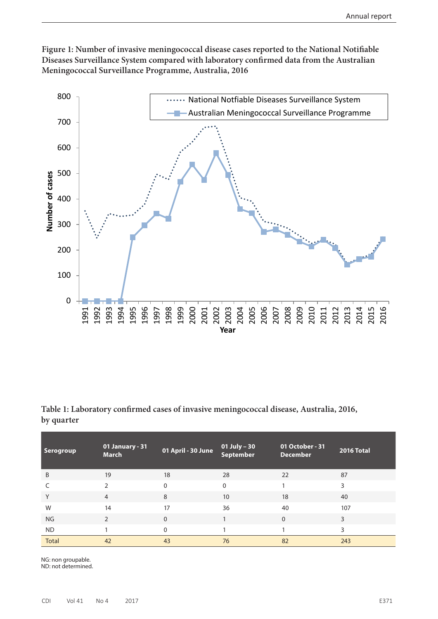



**Table 1: Laboratory confirmed cases of invasive meningococcal disease, Australia, 2016, by quarter**

| Serogroup    | 01 January - 31<br><b>March</b> | 01 April - 30 June | 01 July – 30<br>September | 01 October - 31<br><b>December</b> | 2016 Total |
|--------------|---------------------------------|--------------------|---------------------------|------------------------------------|------------|
| B            | 19                              | 18                 | 28                        | 22                                 | 87         |
|              | $\mathcal{D}$                   | 0                  | $\mathbf{0}$              |                                    | 3          |
| Υ            | $\overline{4}$                  | 8                  | 10                        | 18                                 | 40         |
| W            | 14                              | 17                 | 36                        | 40                                 | 107        |
| <b>NG</b>    | $\mathfrak{D}$                  | 0                  |                           | $\Omega$                           | 3          |
| <b>ND</b>    |                                 | 0                  |                           |                                    | 3          |
| <b>Total</b> | 42                              | 43                 | 76                        | 82                                 | 243        |

NG: non groupable. ND: not determined.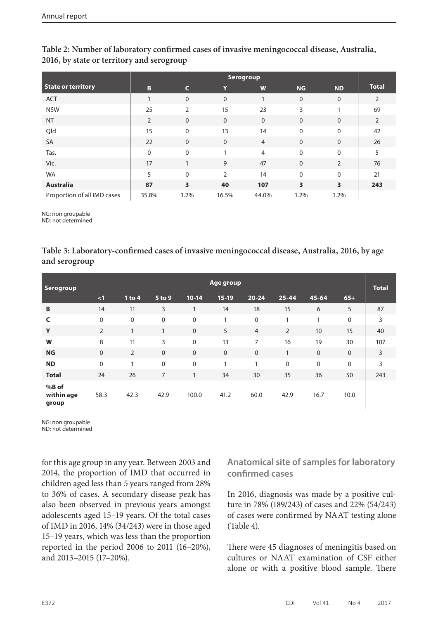|                             | <b>Serogroup</b> |                         |                |                |                         |                         |                |  |  |
|-----------------------------|------------------|-------------------------|----------------|----------------|-------------------------|-------------------------|----------------|--|--|
| <b>State or territory</b>   | B                | C                       | Y              | W              | <b>NG</b>               | <b>ND</b>               | <b>Total</b>   |  |  |
| <b>ACT</b>                  |                  | $\mathbf{0}$            | $\mathbf{0}$   |                | $\mathbf{0}$            | $\mathbf{0}$            | 2              |  |  |
| <b>NSW</b>                  | 25               | $\overline{2}$          | 15             | 23             | 3                       |                         | 69             |  |  |
| <b>NT</b>                   | $\overline{2}$   | $\mathbf 0$             | $\mathbf{0}$   | $\mathbf{0}$   | $\mathbf{0}$            | $\mathbf{0}$            | $\overline{2}$ |  |  |
| Qld                         | 15               | $\Omega$                | 13             | 14             | $\mathbf{0}$            | $\Omega$                | 42             |  |  |
| SA                          | 22               | $\mathbf{0}$            | $\mathbf{0}$   | $\overline{4}$ | $\mathbf{0}$            | $\mathbf{0}$            | 26             |  |  |
| Tas.                        | $\mathbf 0$      | $\mathbf 0$             |                | $\overline{4}$ | $\Omega$                | $\mathbf 0$             | 5              |  |  |
| Vic.                        | 17               |                         | 9              | 47             | $\mathbf{0}$            | $\overline{2}$          | 76             |  |  |
| <b>WA</b>                   | 5                | $\Omega$                | $\overline{2}$ | 14             | $\mathbf{0}$            | $\Omega$                | 21             |  |  |
| <b>Australia</b>            | 87               | $\overline{\mathbf{3}}$ | 40             | 107            | $\overline{\mathbf{3}}$ | $\overline{\mathbf{3}}$ | 243            |  |  |
| Proportion of all IMD cases | 35.8%            | 1.2%                    | 16.5%          | 44.0%          | 1.2%                    | 1.2%                    |                |  |  |

#### **Table 2: Number of laboratory confirmed cases of invasive meningococcal disease, Australia, 2016, by state or territory and serogroup**

NG: non groupable

ND: not determined

#### **Table 3: Laboratory-confirmed cases of invasive meningococcal disease, Australia, 2016, by age and serogroup**

| <b>Serogroup</b>             |                | Age group |              |              |              |                |             |             | <b>Total</b> |     |
|------------------------------|----------------|-----------|--------------|--------------|--------------|----------------|-------------|-------------|--------------|-----|
|                              | $\leq$ 1       | 1 to 4    | 5 to 9       | $10-14$      | $15-19$      | $20 - 24$      | $25 - 44$   | $45 - 64$   | $65+$        |     |
| B                            | 14             | 11        | 3            | $\mathbf{1}$ | 14           | 18             | 15          | 6           | 5            | 87  |
| $\mathsf{C}$                 | $\mathbf 0$    | 0         | $\mathbf 0$  | $\mathbf 0$  | 1            | $\mathbf 0$    | 1           | 1           | $\Omega$     | 3   |
| Y                            | $\overline{2}$ | 1         | $\mathbf{1}$ | $\mathbf 0$  | 5            | $\overline{4}$ | 2           | 10          | 15           | 40  |
| W                            | 8              | 11        | 3            | $\mathbf 0$  | 13           | 7              | 16          | 19          | 30           | 107 |
| <b>NG</b>                    | $\mathbf 0$    | 2         | $\mathbf{0}$ | $\mathbf 0$  | $\mathbf{0}$ | $\mathbf 0$    | 1           | $\mathbf 0$ | $\Omega$     | 3   |
| <b>ND</b>                    | $\mathbf 0$    | 1         | $\mathbf 0$  | $\mathbf 0$  | 1            | 1              | $\mathbf 0$ | $\mathbf 0$ | $\Omega$     | 3   |
| <b>Total</b>                 | 24             | 26        | 7            | $\mathbf{1}$ | 34           | 30             | 35          | 36          | 50           | 243 |
| %B of<br>within age<br>group | 58.3           | 42.3      | 42.9         | 100.0        | 41.2         | 60.0           | 42.9        | 16.7        | 10.0         |     |

NG: non groupable

ND: not determined

for this age group in any year. Between 2003 and 2014, the proportion of IMD that occurred in children aged less than 5 years ranged from 28% to 36% of cases. A secondary disease peak has also been observed in previous years amongst adolescents aged 15–19 years. Of the total cases of IMD in 2016, 14% (34/243) were in those aged 15–19 years, which was less than the proportion reported in the period 2006 to 2011 (16–20%), and 2013–2015 (17–20%).

**Anatomical site of samples for laboratory confirmed cases**

In 2016, diagnosis was made by a positive culture in 78% (189/243) of cases and 22% (54/243) of cases were confirmed by NAAT testing alone (Table 4).

There were 45 diagnoses of meningitis based on cultures or NAAT examination of CSF either alone or with a positive blood sample. There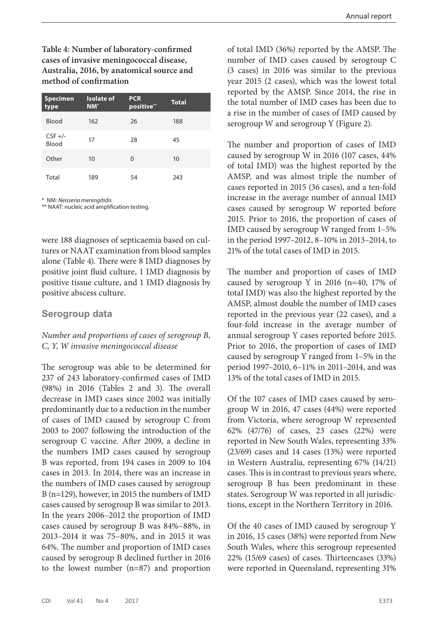**Table 4: Number of laboratory-confirmed cases of invasive meningococcal disease, Australia, 2016, by anatomical source and method of confirmation**

| <b>Specimen</b><br>type | <b>Isolate of</b><br>$NM^*$ | <b>PCR</b><br>positive** | <b>Total</b> |
|-------------------------|-----------------------------|--------------------------|--------------|
| <b>Blood</b>            | 162                         | 26                       | 188          |
| $CSF +/-$<br>Blood      | 17                          | 28                       | 45           |
| Other                   | 10                          | 0                        | 10           |
| Total                   | 189                         | 54                       | 243          |

\* NM: *Neisseria meningitidis*

\*\* NAAT: nucleic acid amplification testing.

were 188 diagnoses of septicaemia based on cultures or NAAT examination from blood samples alone (Table 4). There were 8 IMD diagnoses by positive joint fluid culture, 1 IMD diagnosis by positive tissue culture, and 1 IMD diagnosis by positive abscess culture.

#### **Serogroup data**

#### *Number and proportions of cases of serogroup B, C, Y, W invasive meningococcal disease*

The serogroup was able to be determined for 237 of 243 laboratory-confirmed cases of IMD (98%) in 2016 (Tables 2 and 3). The overall decrease in IMD cases since 2002 was initially predominantly due to a reduction in the number of cases of IMD caused by serogroup C from 2003 to 2007 following the introduction of the serogroup C vaccine. After 2009, a decline in the numbers IMD cases caused by serogroup B was reported, from 194 cases in 2009 to 104 cases in 2013. In 2014, there was an increase in the numbers of IMD cases caused by serogroup B (n=129), however, in 2015 the numbers of IMD cases caused by serogroup B was similar to 2013. In the years 2006–2012 the proportion of IMD cases caused by serogroup B was 84%–88%, in 2013–2014 it was 75–80%, and in 2015 it was 64%. The number and proportion of IMD cases caused by serogroup B declined further in 2016 to the lowest number (n=87) and proportion

of total IMD (36%) reported by the AMSP. The number of IMD cases caused by serogroup C (3 cases) in 2016 was similar to the previous year 2015 (2 cases), which was the lowest total reported by the AMSP. Since 2014, the rise in the total number of IMD cases has been due to a rise in the number of cases of IMD caused by serogroup W and serogroup Y (Figure 2).

The number and proportion of cases of IMD caused by serogroup W in 2016 (107 cases, 44% of total IMD) was the highest reported by the AMSP, and was almost triple the number of cases reported in 2015 (36 cases), and a ten-fold increase in the average number of annual IMD cases caused by serogroup W reported before 2015. Prior to 2016, the proportion of cases of IMD caused by serogroup W ranged from 1–5% in the period 1997–2012, 8–10% in 2013–2014, to 21% of the total cases of IMD in 2015.

The number and proportion of cases of IMD caused by serogroup Y in 2016 (n=40, 17% of total IMD) was also the highest reported by the AMSP, almost double the number of IMD cases reported in the previous year (22 cases), and a four-fold increase in the average number of annual serogroup Y cases reported before 2015. Prior to 2016, the proportion of cases of IMD caused by serogroup Y ranged from 1–5% in the period 1997–2010, 6–11% in 2011–2014, and was 13% of the total cases of IMD in 2015.

Of the 107 cases of IMD cases caused by serogroup W in 2016, 47 cases (44%) were reported from Victoria, where serogroup W represented 62% (47/76) of cases, 23 cases (22%) were reported in New South Wales, representing 33% (23/69) cases and 14 cases (13%) were reported in Western Australia, representing 67% (14/21) cases. This is in contrast to previous years where, serogroup B has been predominant in these states. Serogroup W was reported in all jurisdictions, except in the Northern Territory in 2016.

Of the 40 cases of IMD caused by serogroup Y in 2016, 15 cases (38%) were reported from New South Wales, where this serogroup represented 22% (15/69 cases) of cases. Thirteencases (33%) were reported in Queensland, representing 31%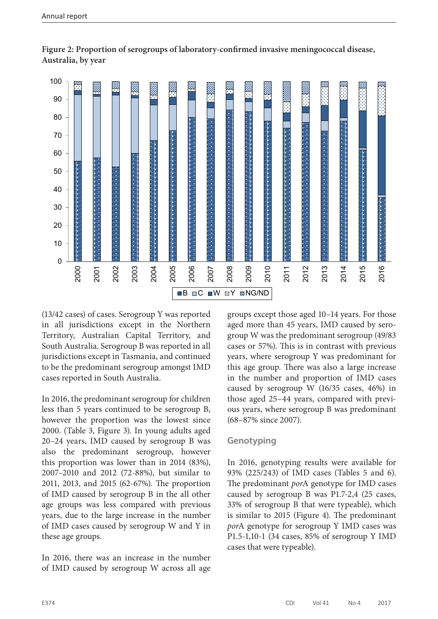

**Figure 2: Proportion of serogroups of laboratory-confirmed invasive meningococcal disease, Australia, by year**

(13/42 cases) of cases. Serogroup Y was reported in all jurisdictions except in the Northern Territory, Australian Capital Territory, and South Australia. Serogroup B was reported in all jurisdictions except in Tasmania, and continued to be the predominant serogroup amongst IMD cases reported in South Australia.

In 2016, the predominant serogroup for children less than 5 years continued to be serogroup B, however the proportion was the lowest since 2000. (Table 3, Figure 3). In young adults aged 20–24 years, IMD caused by serogroup B was also the predominant serogroup, however this proportion was lower than in 2014 (83%), 2007–2010 and 2012 (72-88%), but similar to 2011, 2013, and 2015 (62-67%). The proportion of IMD caused by serogroup B in the all other age groups was less compared with previous years, due to the large increase in the number of IMD cases caused by serogroup W and Y in these age groups.

In 2016, there was an increase in the number of IMD caused by serogroup W across all age groups except those aged 10–14 years. For those aged more than 45 years, IMD caused by serogroup W was the predominant serogroup (49/83 cases or 57%). This is in contrast with previous years, where serogroup Y was predominant for this age group. There was also a large increase in the number and proportion of IMD cases caused by serogroup W (16/35 cases, 46%) in those aged 25–44 years, compared with previous years, where serogroup B was predominant (68–87% since 2007).

## **Genotyping**

In 2016, genotyping results were available for 93% (225/243) of IMD cases (Tables 5 and 6). The predominant *por*A genotype for IMD cases caused by serogroup B was P1.7-2,4 (25 cases, 33% of serogroup B that were typeable), which is similar to 2015 (Figure 4). The predominant *por*A genotype for serogroup Y IMD cases was P1.5-1,10-1 (34 cases, 85% of serogroup Y IMD cases that were typeable).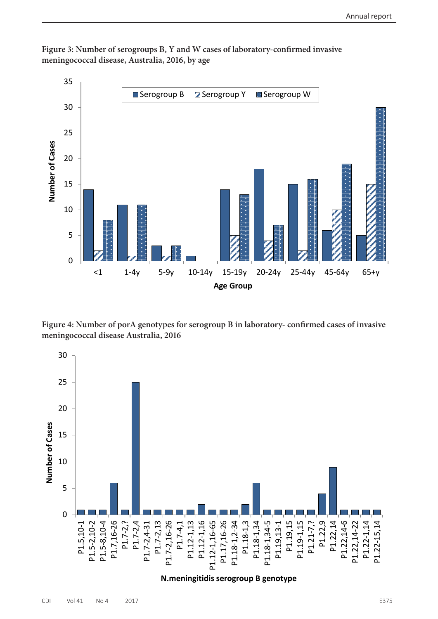

**Figure 3: Number of serogroups B, Y and W cases of laboratory-confirmed invasive meningococcal disease, Australia, 2016, by age**

**Figure 4: Number of porA genotypes for serogroup B in laboratory- confirmed cases of invasive meningococcal disease Australia, 2016**

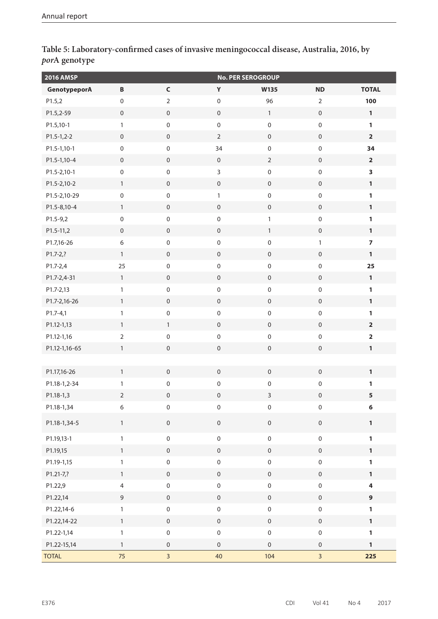| <b>2016 AMSP</b> |                     |                     |                     | <b>No. PER SEROGROUP</b> |                     |                         |
|------------------|---------------------|---------------------|---------------------|--------------------------|---------------------|-------------------------|
| GenotypeporA     | $\, {\bf B}$        | $\mathsf C$         | Y                   | W135                     | <b>ND</b>           | <b>TOTAL</b>            |
| P1.5,2           | $\mathsf{O}\xspace$ | $\mathbf 2$         | $\mathbf 0$         | 96                       | $\overline{2}$      | 100                     |
| P1.5,2-59        | $\mathbf 0$         | $\mathbf 0$         | $\mathsf{O}\xspace$ | $\mathbf{1}$             | $\mathbf 0$         | $\mathbf{1}$            |
| P1.5,10-1        | $\mathbf{1}$        | $\boldsymbol{0}$    | $\mathbf 0$         | $\mathbf 0$              | $\mathsf{O}\xspace$ | $\mathbf{1}$            |
| $P1.5-1,2-2$     | $\mathsf{O}\xspace$ | $\mathbf 0$         | $\overline{2}$      | $\mathsf{O}\xspace$      | $\mathsf{O}\xspace$ | $\overline{\mathbf{2}}$ |
| P1.5-1,10-1      | $\mathbf 0$         | $\mathbf 0$         | 34                  | $\mathbf 0$              | $\mathsf{O}\xspace$ | 34                      |
| P1.5-1,10-4      | $\mathbf 0$         | $\mathbf 0$         | $\mathbf 0$         | $\overline{2}$           | $\mathsf{O}\xspace$ | $\overline{\mathbf{2}}$ |
| P1.5-2,10-1      | $\mathsf{O}\xspace$ | $\mathbf 0$         | 3                   | $\mathbf 0$              | $\mathsf{O}\xspace$ | 3                       |
| P1.5-2,10-2      | $\mathbf{1}$        | $\mathsf{O}\xspace$ | $\mathsf{O}\xspace$ | $\mathbf 0$              | $\mathbf 0$         | $\mathbf{1}$            |
| P1.5-2,10-29     | $\boldsymbol{0}$    | $\boldsymbol{0}$    | $\mathbf{1}$        | $\mathbf 0$              | $\mathsf{O}\xspace$ | $\mathbf{1}$            |
| P1.5-8,10-4      | $\mathbf{1}$        | $\mathbf 0$         | $\mathbf 0$         | $\mathsf{O}\xspace$      | $\mathsf{O}\xspace$ | $\mathbf{1}$            |
| $P1.5 - 9,2$     | $\mathbf 0$         | $\mathbf 0$         | $\mathsf{O}\xspace$ | $\mathbf{1}$             | $\mathsf{O}\xspace$ | $\mathbf{1}$            |
| P1.5-11,2        | $\mathbf 0$         | $\mathbf 0$         | $\boldsymbol{0}$    | $\mathbf{1}$             | $\mathsf{O}\xspace$ | $\mathbf{1}$            |
| P1.7,16-26       | $\boldsymbol{6}$    | $\mathbf 0$         | $\mbox{O}$          | $\mathbf 0$              | $\mathbf{1}$        | $\overline{7}$          |
| $P1.7 - 2, ?$    | $\mathbf{1}$        | $\mathbf 0$         | $\mathbf 0$         | $\mathbf 0$              | $\mathbf 0$         | $\mathbf{1}$            |
| P1.7-2,4         | 25                  | $\boldsymbol{0}$    | $\pmb{0}$           | $\mathbf 0$              | $\mathsf{O}\xspace$ | 25                      |
| P1.7-2,4-31      | $\mathbf{1}$        | $\mathbf 0$         | $\mathbf 0$         | $\mathsf{O}\xspace$      | $\mathsf{O}\xspace$ | $\mathbf{1}$            |
| P1.7-2,13        | $\mathbf{1}$        | $\mathbf 0$         | $\mathsf{O}\xspace$ | $\mathbf 0$              | $\mathsf{O}\xspace$ | $\mathbf{1}$            |
| P1.7-2,16-26     | $\mathbf{1}$        | $\mathbf 0$         | $\boldsymbol{0}$    | $\mathbf 0$              | $\mathsf{O}\xspace$ | $\mathbf{1}$            |
| $P1.7 - 4,1$     | $\mathbf{1}$        | $\mathbf 0$         | $\mbox{O}$          | $\mathbf 0$              | $\mathsf{O}\xspace$ | $\mathbf{1}$            |
| P1.12-1,13       | $\mathbf{1}$        | $\mathbf{1}$        | $\mathbf 0$         | $\mathbf 0$              | $\mathsf{O}\xspace$ | $\overline{\mathbf{2}}$ |
| P1.12-1,16       | $\overline{2}$      | $\boldsymbol{0}$    | $\mathbf 0$         | $\pmb{0}$                | $\pmb{0}$           | $\overline{\mathbf{2}}$ |
| P1.12-1,16-65    | $\mathbf{1}$        | $\mathsf{O}\xspace$ | $\mathsf{O}\xspace$ | $\mathsf{O}\xspace$      | $\mathsf{O}\xspace$ | $\mathbf{1}$            |
|                  |                     |                     |                     |                          |                     |                         |
| P1.17,16-26      | $\mathbf{1}$        | $\boldsymbol{0}$    | $\boldsymbol{0}$    | $\mathbf 0$              | $\mathbf 0$         | $\mathbf{1}$            |
| P1.18-1,2-34     | $\mathbf{1}$        | $\mathsf{O}\xspace$ | $\pmb{0}$           | $\mathbf 0$              | $\mathsf{O}\xspace$ | 1                       |
| P1.18-1,3        | $\overline{2}$      | $\mathsf{O}\xspace$ | $\boldsymbol{0}$    | $\mathsf{3}$             | $\mathsf{O}\xspace$ | 5                       |
| P1.18-1,34       | $\boldsymbol{6}$    | $\pmb{0}$           | $\mathbf 0$         | $\pmb{0}$                | $\mathsf{O}\xspace$ | 6                       |
| P1.18-1,34-5     | $\mathbf{1}$        | $\mathbf 0$         | $\mathsf{O}\xspace$ | $\mathbf 0$              | $\mathsf{O}\xspace$ | $\mathbf{1}$            |
| P1.19,13-1       | $\mathbf{1}$        | $\mathbf 0$         | $\mathbf 0$         | $\mathsf{O}\xspace$      | $\mathbf 0$         | $\mathbf{1}$            |
| P1.19,15         | $\mathbf{1}$        | $\mathsf{O}\xspace$ | $\mathsf{O}\xspace$ | $\mathsf{O}\xspace$      | $\mathbf 0$         | $\mathbf{1}$            |
| P1.19-1,15       | $\mathbf{1}$        | $\mathbf 0$         | $\mathbf 0$         | $\mathbf 0$              | $\mathsf{O}\xspace$ | $\mathbf{1}$            |
| P1.21-7,?        | $\mathbf{1}$        | $\mathbf 0$         | $\mathsf{O}\xspace$ | $\mathbf 0$              | $\mathbf 0$         | $\mathbf{1}$            |
| P1.22,9          | $\overline{4}$      | $\mathbf 0$         | $\mathsf{O}\xspace$ | $\mathbf 0$              | $\mathsf{O}\xspace$ | $\overline{\mathbf{4}}$ |
| P1.22,14         | $\mathsf 9$         | $\mathbf 0$         | $\mathsf{O}\xspace$ | $\mathsf{O}\xspace$      | $\mathsf{O}\xspace$ | $\overline{9}$          |
| P1.22,14-6       | $\mathbf{1}$        | $\mathbf 0$         | $\mathsf{O}\xspace$ | $\mathsf{O}\xspace$      | $\mathsf{O}\xspace$ | $\mathbf{1}$            |
| P1.22,14-22      | $\mathbf{1}$        | $\mathsf{O}\xspace$ | $\mathsf{O}\xspace$ | $\mathbf 0$              | $\mathsf{O}\xspace$ | $\mathbf{1}$            |
| P1.22-1,14       | $\mathbf{1}$        | $\mathbf 0$         | $\mathbf 0$         | $\mathbf 0$              | $\mathsf{O}\xspace$ | $\mathbf{1}$            |
| P1.22-15,14      | $\mathbf{1}$        | $\mathsf{O}\xspace$ | $\mathsf{O}\xspace$ | $\mathbf 0$              | $\boldsymbol{0}$    | $\mathbf{1}$            |
| <b>TOTAL</b>     | 75                  | $\overline{3}$      | 40                  | 104                      | $\overline{3}$      | 225                     |

**Table 5: Laboratory-confirmed cases of invasive meningococcal disease, Australia, 2016, by**  *por***A genotype**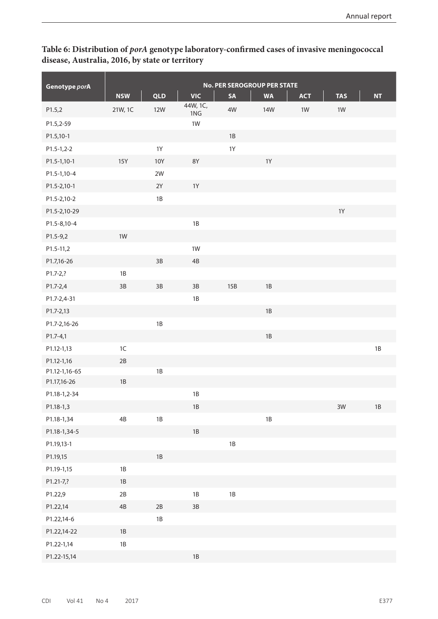## **Table 6: Distribution of** *porA* **genotype laboratory-confirmed cases of invasive meningococcal disease, Australia, 2016, by state or territory**

|               | <b>No. PER SEROGROUP PER STATE</b> |               |               |           |            |            |               |               |  |  |
|---------------|------------------------------------|---------------|---------------|-----------|------------|------------|---------------|---------------|--|--|
| Genotype porA | <b>NSW</b>                         | <b>QLD</b>    | <b>VIC</b>    | <b>SA</b> | <b>WA</b>  | <b>ACT</b> | <b>TAS</b>    | <b>NT</b>     |  |  |
| P1.5,2        | 21W, 1C                            | <b>12W</b>    | 44W, 1C,      | 4W        | <b>14W</b> | 1W         | $1W$          |               |  |  |
| P1.5,2-59     |                                    |               | 1NG<br>1W     |           |            |            |               |               |  |  |
| P1.5,10-1     |                                    |               |               | $1B$      |            |            |               |               |  |  |
| $P1.5-1,2-2$  |                                    | $1Y$          |               | 1Y        |            |            |               |               |  |  |
| P1.5-1,10-1   | <b>15Y</b>                         | <b>10Y</b>    | <b>8Y</b>     |           | $1Y$       |            |               |               |  |  |
| P1.5-1,10-4   |                                    | $2W$          |               |           |            |            |               |               |  |  |
| P1.5-2,10-1   |                                    | 2Y            | 1Y            |           |            |            |               |               |  |  |
| P1.5-2,10-2   |                                    | $1\mathrm{B}$ |               |           |            |            |               |               |  |  |
| P1.5-2,10-29  |                                    |               |               |           |            |            | $1Y$          |               |  |  |
| P1.5-8,10-4   |                                    |               | $1B$          |           |            |            |               |               |  |  |
| $P1.5-9,2$    | 1W                                 |               |               |           |            |            |               |               |  |  |
| P1.5-11,2     |                                    |               | $1W$          |           |            |            |               |               |  |  |
| P1.7,16-26    |                                    | $3B$          | $4\mathsf{B}$ |           |            |            |               |               |  |  |
| P1.7-2,?      | 1B                                 |               |               |           |            |            |               |               |  |  |
| P1.7-2,4      | $3B$                               | 3B            | $3B$          | 15B       | $1B$       |            |               |               |  |  |
| P1.7-2,4-31   |                                    |               | $1B$          |           |            |            |               |               |  |  |
| P1.7-2,13     |                                    |               |               |           | $1B$       |            |               |               |  |  |
| P1.7-2,16-26  |                                    | $1\mathrm{B}$ |               |           |            |            |               |               |  |  |
| $P1.7 - 4,1$  |                                    |               |               |           | $1B$       |            |               |               |  |  |
| P1.12-1,13    | 1C                                 |               |               |           |            |            |               | 1B            |  |  |
| P1.12-1,16    | $2B$                               |               |               |           |            |            |               |               |  |  |
| P1.12-1,16-65 |                                    | 1B            |               |           |            |            |               |               |  |  |
| P1.17,16-26   | 1B                                 |               |               |           |            |            |               |               |  |  |
| P1.18-1,2-34  |                                    |               | $1B$          |           |            |            |               |               |  |  |
| P1.18-1,3     |                                    |               | $1\mathsf{B}$ |           |            |            | $3\mathrm{W}$ | $1\mathsf{B}$ |  |  |
| P1.18-1,34    | $4\mathsf{B}$                      | $1\mathrm{B}$ |               |           | $1B$       |            |               |               |  |  |
| P1.18-1,34-5  |                                    |               | $1B$          |           |            |            |               |               |  |  |
| P1.19,13-1    |                                    |               |               | $1B$      |            |            |               |               |  |  |
| P1.19,15      |                                    | $1\mathsf{B}$ |               |           |            |            |               |               |  |  |
| P1.19-1,15    | $1B$                               |               |               |           |            |            |               |               |  |  |
| P1.21-7,?     | $1\mathrm{B}$                      |               |               |           |            |            |               |               |  |  |
| P1.22,9       | $2B$                               |               | $1B$          | $1B$      |            |            |               |               |  |  |
| P1.22,14      | $4\mathsf{B}$                      | $2\mathsf{B}$ | $3B$          |           |            |            |               |               |  |  |
| P1.22,14-6    |                                    | $1\mathsf{B}$ |               |           |            |            |               |               |  |  |
| P1.22,14-22   | $1\mathrm{B}$                      |               |               |           |            |            |               |               |  |  |
| P1.22-1,14    | $1\mathsf{B}$                      |               |               |           |            |            |               |               |  |  |
| P1.22-15,14   |                                    |               | $1B$          |           |            |            |               |               |  |  |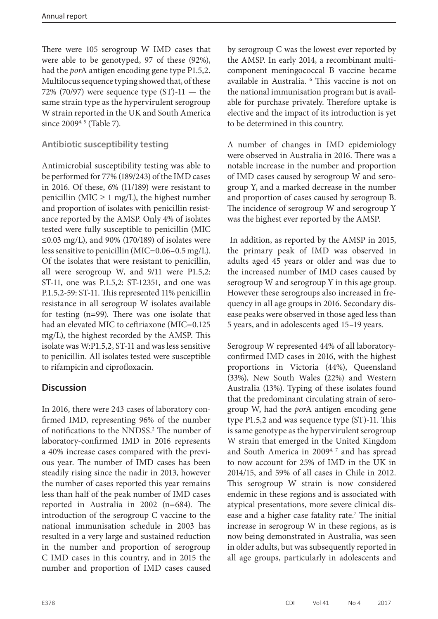There were 105 serogroup W IMD cases that were able to be genotyped, 97 of these (92%), had the *por*A antigen encoding gene type P1.5,2. Multilocus sequence typing showed that, of these 72% (70/97) were sequence type  $(ST) - 11$  — the same strain type as the hypervirulent serogroup W strain reported in the UK and South America since 2009<sup>4, 5</sup> (Table 7).

## **Antibiotic susceptibility testing**

Antimicrobial susceptibility testing was able to be performed for 77% (189/243) of the IMD cases in 2016. Of these, 6% (11/189) were resistant to penicillin (MIC  $\geq$  1 mg/L), the highest number and proportion of isolates with penicillin resistance reported by the AMSP. Only 4% of isolates tested were fully susceptible to penicillin (MIC ≤0.03 mg/L), and 90% (170/189) of isolates were less sensitive to penicillin (MIC=0.06–0.5 mg/L). Of the isolates that were resistant to penicillin, all were serogroup W, and 9/11 were P1.5,2: ST-11, one was P.1.5,2: ST-12351, and one was P.1.5,2-59: ST-11. This represented 11% penicillin resistance in all serogroup W isolates available for testing (n=99). There was one isolate that had an elevated MIC to ceftriaxone (MIC=0.125 mg/L), the highest recorded by the AMSP. This isolate was W:P1.5,2, ST-11 and was less sensitive to penicillin. All isolates tested were susceptible to rifampicin and ciprofloxacin.

## **Discussion**

In 2016, there were 243 cases of laboratory confirmed IMD, representing 96% of the number of notifications to the NNDSS.<sup>2</sup> The number of laboratory-confirmed IMD in 2016 represents a 40% increase cases compared with the previous year. The number of IMD cases has been steadily rising since the nadir in 2013, however the number of cases reported this year remains less than half of the peak number of IMD cases reported in Australia in 2002 (n=684). The introduction of the serogroup C vaccine to the national immunisation schedule in 2003 has resulted in a very large and sustained reduction in the number and proportion of serogroup C IMD cases in this country, and in 2015 the number and proportion of IMD cases caused

by serogroup C was the lowest ever reported by the AMSP. In early 2014, a recombinant multicomponent meningococcal B vaccine became available in Australia. 6 This vaccine is not on the national immunisation program but is available for purchase privately. Therefore uptake is elective and the impact of its introduction is yet to be determined in this country.

A number of changes in IMD epidemiology were observed in Australia in 2016. There was a notable increase in the number and proportion of IMD cases caused by serogroup W and serogroup Y, and a marked decrease in the number and proportion of cases caused by serogroup B. The incidence of serogroup W and serogroup Y was the highest ever reported by the AMSP.

 In addition, as reported by the AMSP in 2015, the primary peak of IMD was observed in adults aged 45 years or older and was due to the increased number of IMD cases caused by serogroup W and serogroup Y in this age group. However these serogroups also increased in frequency in all age groups in 2016. Secondary disease peaks were observed in those aged less than 5 years, and in adolescents aged 15–19 years.

Serogroup W represented 44% of all laboratoryconfirmed IMD cases in 2016, with the highest proportions in Victoria (44%), Queensland (33%), New South Wales (22%) and Western Australia (13%). Typing of these isolates found that the predominant circulating strain of serogroup W, had the *por*A antigen encoding gene type P1.5,2 and was sequence type (ST)-11. This is same genotype as the hypervirulent serogroup W strain that emerged in the United Kingdom and South America in 20094, 7 and has spread to now account for 25% of IMD in the UK in 2014/15, and 59% of all cases in Chile in 2012. This serogroup W strain is now considered endemic in these regions and is associated with atypical presentations, more severe clinical disease and a higher case fatality rate.<sup>7</sup> The initial increase in serogroup W in these regions, as is now being demonstrated in Australia, was seen in older adults, but was subsequently reported in all age groups, particularly in adolescents and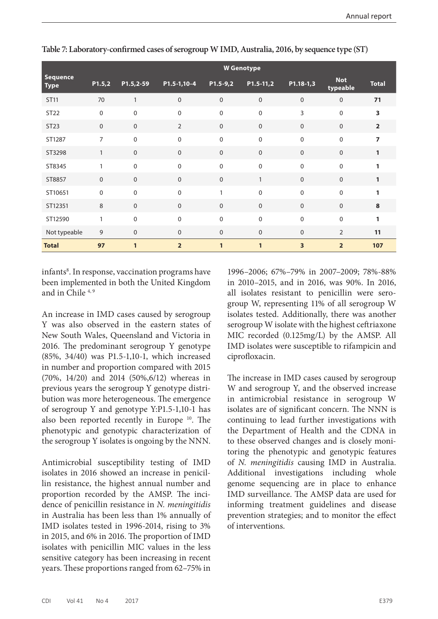|                                | <b>W</b> Genotype |              |                  |                  |                  |              |                        |                |  |  |
|--------------------------------|-------------------|--------------|------------------|------------------|------------------|--------------|------------------------|----------------|--|--|
| <b>Sequence</b><br><b>Type</b> | P1.5,2            | P1.5,2-59    | P1.5-1,10-4      | $P1.5-9,2$       | $P1.5-11,2$      | P1.18-1,3    | <b>Not</b><br>typeable | <b>Total</b>   |  |  |
| <b>ST11</b>                    | 70                | $\mathbf{1}$ | $\boldsymbol{0}$ | $\boldsymbol{0}$ | $\boldsymbol{0}$ | $\mathbf 0$  | $\mathbf{0}$           | 71             |  |  |
| ST22                           | $\boldsymbol{0}$  | $\mathbf 0$  | $\mathbf 0$      | $\mathbf 0$      | 0                | 3            | $\mathbf 0$            | 3              |  |  |
| ST23                           | $\mathbf 0$       | $\mathbf{0}$ | $\overline{2}$   | $\mathbf 0$      | 0                | $\mathbf 0$  | $\mathbf{0}$           | $\overline{2}$ |  |  |
| ST1287                         | $\overline{7}$    | $\Omega$     | $\Omega$         | $\mathbf 0$      | 0                | $\Omega$     | $\mathbf{0}$           | $\overline{ }$ |  |  |
| ST3298                         | $\mathbf{1}$      | $\mathbf 0$  | $\mathbf{0}$     | $\mathbf 0$      | 0                | $\mathbf 0$  | $\mathbf 0$            | 1              |  |  |
| ST8345                         | $\mathbf{1}$      | $\mathbf{0}$ | $\Omega$         | $\mathbf 0$      | 0                | $\Omega$     | $\mathbf{0}$           |                |  |  |
| ST8857                         | $\mathbf 0$       | $\mathbf 0$  | $\mathbf 0$      | $\mathbf{0}$     | $\mathbf{1}$     | $\mathbf 0$  | $\mathbf 0$            | 1              |  |  |
| ST10651                        | $\mathbf 0$       | $\mathbf 0$  | $\mathbf 0$      | $\mathbf{1}$     | 0                | $\Omega$     | $\mathbf 0$            | 1              |  |  |
| ST12351                        | $\,8\,$           | $\Omega$     | $\Omega$         | $\mathbf 0$      | $\mathbf 0$      | $\Omega$     | $\mathbf{0}$           | 8              |  |  |
| ST12590                        | $\mathbf{1}$      | $\mathbf{0}$ | $\Omega$         | $\mathbf 0$      | 0                | $\mathbf{0}$ | $\mathbf 0$            | 1              |  |  |
| Not typeable                   | 9                 | $\mathbf 0$  | $\mathbf{0}$     | $\mathbf 0$      | 0                | $\mathbf 0$  | $\overline{2}$         | 11             |  |  |
| <b>Total</b>                   | 97                | $\mathbf{1}$ | $\overline{2}$   | 1                | 1                | 3            | $\overline{2}$         | 107            |  |  |

**Table 7: Laboratory-confirmed cases of serogroup W IMD, Australia, 2016, by sequence type (ST)**

infants<sup>8</sup>. In response, vaccination programs have been implemented in both the United Kingdom and in Chile 4, 9

An increase in IMD cases caused by serogroup Y was also observed in the eastern states of New South Wales, Queensland and Victoria in 2016. The predominant serogroup Y genotype (85%, 34/40) was P1.5-1,10-1, which increased in number and proportion compared with 2015 (70%, 14/20) and 2014 (50%,6/12) whereas in previous years the serogroup Y genotype distribution was more heterogeneous. The emergence of serogroup Y and genotype Y:P1.5-1,10-1 has also been reported recently in Europe 10. The phenotypic and genotypic characterization of the serogroup Y isolates is ongoing by the NNN.

Antimicrobial susceptibility testing of IMD isolates in 2016 showed an increase in penicillin resistance, the highest annual number and proportion recorded by the AMSP. The incidence of penicillin resistance in *N. meningitidis* in Australia has been less than 1% annually of IMD isolates tested in 1996-2014, rising to 3% in 2015, and 6% in 2016. The proportion of IMD isolates with penicillin MIC values in the less sensitive category has been increasing in recent years. These proportions ranged from 62–75% in

1996–2006; 67%–79% in 2007–2009; 78%-88% in 2010–2015, and in 2016, was 90%. In 2016, all isolates resistant to penicillin were serogroup W, representing 11% of all serogroup W isolates tested. Additionally, there was another serogroup W isolate with the highest ceftriaxone MIC recorded (0.125mg/L) by the AMSP. All IMD isolates were susceptible to rifampicin and ciprofloxacin.

The increase in IMD cases caused by serogroup W and serogroup Y, and the observed increase in antimicrobial resistance in serogroup W isolates are of significant concern. The NNN is continuing to lead further investigations with the Department of Health and the CDNA in to these observed changes and is closely monitoring the phenotypic and genotypic features of *N. meningitidis* causing IMD in Australia. Additional investigations including whole genome sequencing are in place to enhance IMD surveillance. The AMSP data are used for informing treatment guidelines and disease prevention strategies; and to monitor the effect of interventions.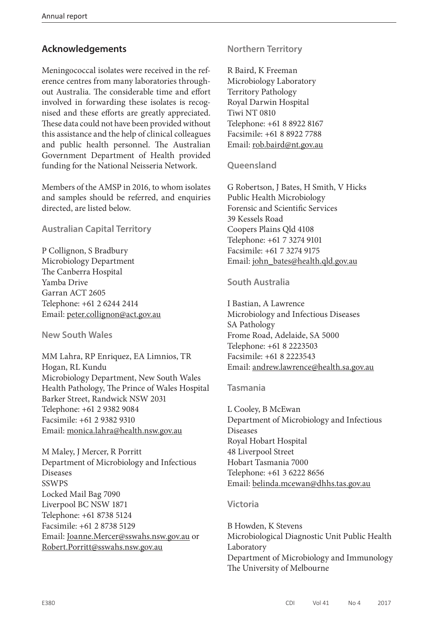## **Acknowledgements**

Meningococcal isolates were received in the reference centres from many laboratories throughout Australia. The considerable time and effort involved in forwarding these isolates is recognised and these efforts are greatly appreciated. These data could not have been provided without this assistance and the help of clinical colleagues and public health personnel. The Australian Government Department of Health provided funding for the National Neisseria Network.

Members of the AMSP in 2016, to whom isolates and samples should be referred, and enquiries directed, are listed below.

#### **Australian Capital Territory**

P Collignon, S Bradbury Microbiology Department The Canberra Hospital Yamba Drive Garran ACT 2605 Telephone: +61 2 6244 2414 Email: [peter.collignon@act.gov.au](mailto:peter.collignon@act.gov.au)

**New South Wales**

MM Lahra, RP Enriquez, EA Limnios, TR Hogan, RL Kundu Microbiology Department, New South Wales Health Pathology, The Prince of Wales Hospital Barker Street, Randwick NSW 2031 Telephone: +61 2 9382 9084 Facsimile: +61 2 9382 9310 Email: [monica.lahra@health.nsw.gov.au](mailto:monica.lahra@health.nsw.gov.au)

M Maley, J Mercer, R Porritt Department of Microbiology and Infectious Diseases **SSWPS** Locked Mail Bag 7090 Liverpool BC NSW 1871 Telephone: +61 8738 5124 Facsimile: +61 2 8738 5129 Email: [Joanne.Mercer@sswahs.nsw.gov.au](mailto:Joanne.Mercer@sswahs.nsw.gov.au) or [Robert.Porritt@sswahs.nsw.gov.au](mailto:Robert.Porritt@sswahs.nsw.gov.au)

## **Northern Territory**

R Baird, K Freeman Microbiology Laboratory Territory Pathology Royal Darwin Hospital Tiwi NT 0810 Telephone: +61 8 8922 8167 Facsimile: +61 8 8922 7788 Email: [rob.baird@nt.gov.au](mailto:rob.baird@nt.gov.au)

#### **Queensland**

G Robertson, J Bates, H Smith, V Hicks Public Health Microbiology Forensic and Scientific Services 39 Kessels Road Coopers Plains Qld 4108 Telephone: +61 7 3274 9101 Facsimile: +61 7 3274 9175 Email: [john\\_bates@health.qld.gov.au](mailto:john_bates@health.qld.gov.au)

#### **South Australia**

I Bastian, A Lawrence Microbiology and Infectious Diseases SA Pathology Frome Road, Adelaide, SA 5000 Telephone: +61 8 2223503 Facsimile: +61 8 2223543 Email: [andrew.lawrence@health.sa.gov.au](mailto:andrew.lawrence@health.sa.gov.au)

## **Tasmania**

L Cooley, B McEwan Department of Microbiology and Infectious Diseases Royal Hobart Hospital 48 Liverpool Street Hobart Tasmania 7000 Telephone: +61 3 6222 8656 Email: [belinda.mcewan@dhhs.tas.gov.au](mailto:belinda.mcewan@dhhs.tas.gov.au)

#### **Victoria**

B Howden, K Stevens Microbiological Diagnostic Unit Public Health Laboratory Department of Microbiology and Immunology The University of Melbourne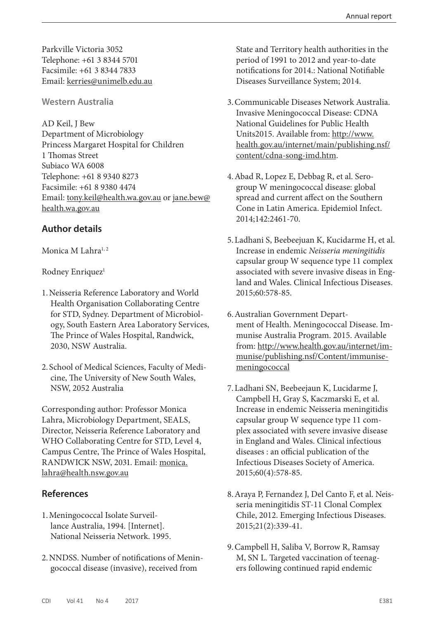Parkville Victoria 3052 Telephone: +61 3 8344 5701 Facsimile: +61 3 8344 7833 Email: [kerries@unimelb.edu.au](mailto:kerries@unimelb.edu.au)

#### **Western Australia**

AD Keil, J Bew Department of Microbiology Princess Margaret Hospital for Children 1 Thomas Street Subiaco WA 6008 Telephone: +61 8 9340 8273 Facsimile: +61 8 9380 4474 Email: [tony.keil@health.wa.gov.au](mailto:tony.keil@health.wa.gov.au) or [jane.bew@](mailto:jane.bew@health.wa.gov.au) [health.wa.gov.au](mailto:jane.bew@health.wa.gov.au)

## **Author details**

#### Monica M Lahra<sup>1, 2</sup>

#### Rodney Enriquez<sup>1</sup>

- 1.Neisseria Reference Laboratory and World Health Organisation Collaborating Centre for STD, Sydney. Department of Microbiology, South Eastern Area Laboratory Services, The Prince of Wales Hospital, Randwick, 2030, NSW Australia.
- 2. School of Medical Sciences, Faculty of Medicine, The University of New South Wales, NSW, 2052 Australia

Corresponding author: Professor Monica Lahra, Microbiology Department, SEALS, Director, Neisseria Reference Laboratory and WHO Collaborating Centre for STD, Level 4, Campus Centre, The Prince of Wales Hospital, RANDWICK NSW, 2031. Email: [monica.](mailto:monica.lahra@health.nsw.gov.au) [lahra@health.nsw.gov.au](mailto:monica.lahra@health.nsw.gov.au)

#### **References**

- 1.Meningococcal Isolate Surveillance Australia, 1994. [Internet]. National Neisseria Network. 1995.
- 2.NNDSS. Number of notifications of Meningococcal disease (invasive), received from

State and Territory health authorities in the period of 1991 to 2012 and year-to-date notifications for 2014.: National Notifiable Diseases Surveillance System; 2014.

- 3.Communicable Diseases Network Australia. Invasive Meningococcal Disease: CDNA National Guidelines for Public Health Units2015. Available from: [http://www.](http://www.health.gov.au/internet/main/publishing.nsf/content/cdna-song-imd.htm) [health.gov.au/internet/main/publishing.nsf/](http://www.health.gov.au/internet/main/publishing.nsf/content/cdna-song-imd.htm) [content/cdna-song-imd.htm](http://www.health.gov.au/internet/main/publishing.nsf/content/cdna-song-imd.htm).
- 4.Abad R, Lopez E, Debbag R, et al. Serogroup W meningococcal disease: global spread and current affect on the Southern Cone in Latin America. Epidemiol Infect. 2014;142:2461-70.
- 5.Ladhani S, Beebeejuan K, Kucidarme H, et al. Increase in endemic *Neisseria meningitidis* capsular group W sequence type 11 complex associated with severe invasive diseas in England and Wales. Clinical Infectious Diseases. 2015;60:578-85.
- 6.Australian Government Department of Health. Meningococcal Disease. Immunise Australia Program. 2015. Available from: [http://www.health.gov.au/internet/im](http://www.health.gov.au/internet/immunise/publishing.nsf/Content/immunise-meningococcal)[munise/publishing.nsf/Content/immunise](http://www.health.gov.au/internet/immunise/publishing.nsf/Content/immunise-meningococcal)[meningococcal](http://www.health.gov.au/internet/immunise/publishing.nsf/Content/immunise-meningococcal)
- 7.Ladhani SN, Beebeejaun K, Lucidarme J, Campbell H, Gray S, Kaczmarski E, et al. Increase in endemic Neisseria meningitidis capsular group W sequence type 11 complex associated with severe invasive disease in England and Wales. Clinical infectious diseases : an official publication of the Infectious Diseases Society of America. 2015;60(4):578-85.
- 8.Araya P, Fernandez J, Del Canto F, et al. Neisseria meningitidis ST-11 Clonal Complex Chile, 2012. Emerging Infectious Diseases. 2015;21(2):339-41.
- 9.Campbell H, Saliba V, Borrow R, Ramsay M, SN L. Targeted vaccination of teenagers following continued rapid endemic